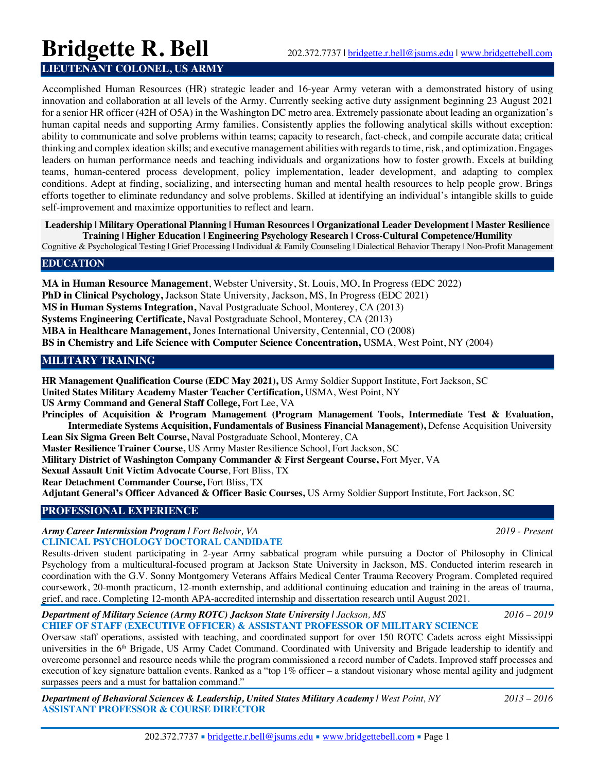# **Bridgette R. Bell** 202.372.7737 | bridgette.r.bell@jsums.edu | www.bridgettebell.com

## **LIEUTENANT COLONEL, US ARMY**

Accomplished Human Resources (HR) strategic leader and 16-year Army veteran with a demonstrated history of using innovation and collaboration at all levels of the Army. Currently seeking active duty assignment beginning 23 August 2021 for a senior HR officer (42H of O5A) in the Washington DC metro area. Extremely passionate about leading an organization's human capital needs and supporting Army families. Consistently applies the following analytical skills without exception: ability to communicate and solve problems within teams; capacity to research, fact-check, and compile accurate data; critical thinking and complex ideation skills; and executive management abilities with regards to time, risk, and optimization. Engages leaders on human performance needs and teaching individuals and organizations how to foster growth. Excels at building teams, human-centered process development, policy implementation, leader development, and adapting to complex conditions. Adept at finding, socializing, and intersecting human and mental health resources to help people grow. Brings efforts together to eliminate redundancy and solve problems. Skilled at identifying an individual's intangible skills to guide self-improvement and maximize opportunities to reflect and learn.

#### **Leadership | Military Operational Planning | Human Resources | Organizational Leader Development | Master Resilience Training | Higher Education | Engineering Psychology Research | Cross-Cultural Competence/Humility**

Cognitive & Psychological Testing | Grief Processing | Individual & Family Counseling | Dialectical Behavior Therapy | Non-Profit Management

#### **EDUCATION**

**MA in Human Resource Management**, Webster University, St. Louis, MO, In Progress (EDC 2022) **PhD in Clinical Psychology,** Jackson State University, Jackson, MS, In Progress (EDC 2021) **MS in Human Systems Integration,** Naval Postgraduate School, Monterey, CA (2013) **Systems Engineering Certificate,** Naval Postgraduate School, Monterey, CA (2013) **MBA in Healthcare Management,** Jones International University, Centennial, CO (2008) **BS in Chemistry and Life Science with Computer Science Concentration,** USMA, West Point, NY (2004)

## **MILITARY TRAINING**

**HR Management Qualification Course (EDC May 2021),** US Army Soldier Support Institute, Fort Jackson, SC **United States Military Academy Master Teacher Certification,** USMA, West Point, NY **US Army Command and General Staff College,** Fort Lee, VA **Principles of Acquisition & Program Management (Program Management Tools, Intermediate Test & Evaluation, Intermediate Systems Acquisition, Fundamentals of Business Financial Management),** Defense Acquisition University **Lean Six Sigma Green Belt Course,** Naval Postgraduate School, Monterey, CA **Master Resilience Trainer Course,** US Army Master Resilience School, Fort Jackson, SC **Military District of Washington Company Commander & First Sergeant Course,** Fort Myer, VA **Sexual Assault Unit Victim Advocate Course**, Fort Bliss, TX **Rear Detachment Commander Course,** Fort Bliss, TX **Adjutant General's Officer Advanced & Officer Basic Courses,** US Army Soldier Support Institute, Fort Jackson, SC

## **PROFESSIONAL EXPERIENCE**

*Army Career Intermission Program | Fort Belvoir, VA 2019 - Present*  **CLINICAL PSYCHOLOGY DOCTORAL CANDIDATE**

Results-driven student participating in 2-year Army sabbatical program while pursuing a Doctor of Philosophy in Clinical Psychology from a multicultural-focused program at Jackson State University in Jackson, MS. Conducted interim research in coordination with the G.V. Sonny Montgomery Veterans Affairs Medical Center Trauma Recovery Program. Completed required coursework, 20-month practicum, 12-month externship, and additional continuing education and training in the areas of trauma, grief, and race. Completing 12-month APA-accredited internship and dissertation research until August 2021.

#### *Department of Military Science (Army ROTC) Jackson State University | Jackson, MS 2016 – 2019*  **CHIEF OF STAFF (EXECUTIVE OFFICER) & ASSISTANT PROFESSOR OF MILITARY SCIENCE**

Oversaw staff operations, assisted with teaching, and coordinated support for over 150 ROTC Cadets across eight Mississippi universities in the 6<sup>th</sup> Brigade, US Army Cadet Command. Coordinated with University and Brigade leadership to identify and overcome personnel and resource needs while the program commissioned a record number of Cadets. Improved staff processes and execution of key signature battalion events. Ranked as a "top 1% officer – a standout visionary whose mental agility and judgment surpasses peers and a must for battalion command."

*Department of Behavioral Sciences & Leadership, United States Military Academy | West Point, NY 2013 – 2016*  **ASSISTANT PROFESSOR & COURSE DIRECTOR**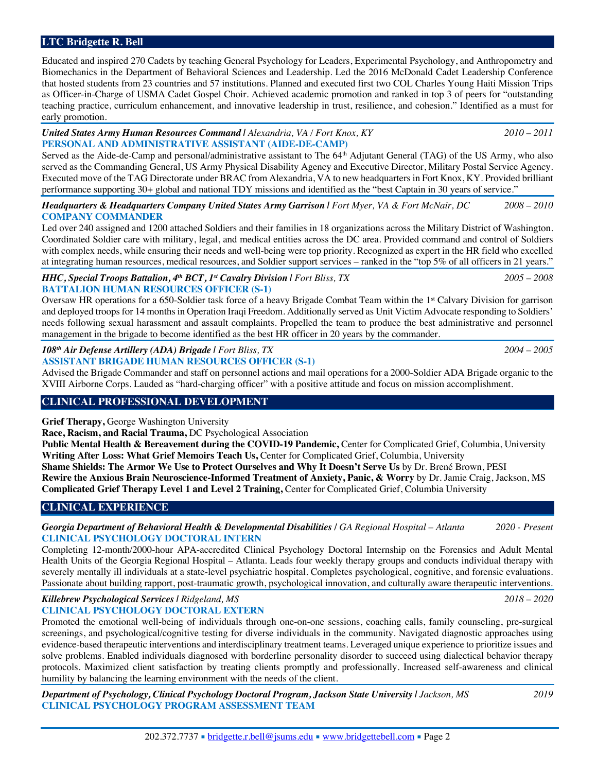## **LTC Bridgette R. Bell**

Educated and inspired 270 Cadets by teaching General Psychology for Leaders, Experimental Psychology, and Anthropometry and Biomechanics in the Department of Behavioral Sciences and Leadership. Led the 2016 McDonald Cadet Leadership Conference that hosted students from 23 countries and 57 institutions. Planned and executed first two COL Charles Young Haiti Mission Trips as Officer-in-Charge of USMA Cadet Gospel Choir. Achieved academic promotion and ranked in top 3 of peers for "outstanding teaching practice, curriculum enhancement, and innovative leadership in trust, resilience, and cohesion." Identified as a must for early promotion.

#### *United States Army Human Resources Command | Alexandria, VA / Fort Knox, KY 2010 – 2011*  **PERSONAL AND ADMINISTRATIVE ASSISTANT (AIDE-DE-CAMP)**

Served as the Aide-de-Camp and personal/administrative assistant to The 64<sup>th</sup> Adjutant General (TAG) of the US Army, who also served as the Commanding General, US Army Physical Disability Agency and Executive Director, Military Postal Service Agency. Executed move of the TAG Directorate under BRAC from Alexandria, VA to new headquarters in Fort Knox, KY. Provided brilliant performance supporting 30+ global and national TDY missions and identified as the "best Captain in 30 years of service."

*Headquarters & Headquarters Company United States Army Garrison | Fort Myer, VA & Fort McNair, DC 2008 – 2010* **COMPANY COMMANDER**

Led over 240 assigned and 1200 attached Soldiers and their families in 18 organizations across the Military District of Washington. Coordinated Soldier care with military, legal, and medical entities across the DC area. Provided command and control of Soldiers with complex needs, while ensuring their needs and well-being were top priority. Recognized as expert in the HR field who excelled at integrating human resources, medical resources, and Soldier support services – ranked in the "top 5% of all officers in 21 years."

#### *HHC, Special Troops Battalion, 4th BCT, 1st Cavalry Division | Fort Bliss, TX 2005 – 2008*  **BATTALION HUMAN RESOURCES OFFICER (S-1)**

Oversaw HR operations for a 650-Soldier task force of a heavy Brigade Combat Team within the 1st Calvary Division for garrison and deployed troops for 14 months in Operation Iraqi Freedom. Additionally served as Unit Victim Advocate responding to Soldiers' needs following sexual harassment and assault complaints. Propelled the team to produce the best administrative and personnel management in the brigade to become identified as the best HR officer in 20 years by the commander.

#### *108th Air Defense Artillery (ADA) Brigade | Fort Bliss, TX 2004 – 2005*  **ASSISTANT BRIGADE HUMAN RESOURCES OFFICER (S-1)**

Advised the Brigade Commander and staff on personnel actions and mail operations for a 2000-Soldier ADA Brigade organic to the XVIII Airborne Corps. Lauded as "hard-charging officer" with a positive attitude and focus on mission accomplishment.

## **CLINICAL PROFESSIONAL DEVELOPMENT**

**Grief Therapy,** George Washington University

**Race, Racism, and Racial Trauma,** DC Psychological Association

**Public Mental Health & Bereavement during the COVID-19 Pandemic,** Center for Complicated Grief, Columbia, University **Writing After Loss: What Grief Memoirs Teach Us,** Center for Complicated Grief, Columbia, University

**Shame Shields: The Armor We Use to Protect Ourselves and Why It Doesn't Serve Us** by Dr. Brené Brown, PESI **Rewire the Anxious Brain Neuroscience-Informed Treatment of Anxiety, Panic, & Worry** by Dr. Jamie Craig, Jackson, MS **Complicated Grief Therapy Level 1 and Level 2 Training,** Center for Complicated Grief, Columbia University

## **CLINICAL EXPERIENCE**

*Georgia Department of Behavioral Health & Developmental Disabilities / GA Regional Hospital – Atlanta 2020 - Present*  **CLINICAL PSYCHOLOGY DOCTORAL INTERN** 

Completing 12-month/2000-hour APA-accredited Clinical Psychology Doctoral Internship on the Forensics and Adult Mental Health Units of the Georgia Regional Hospital – Atlanta. Leads four weekly therapy groups and conducts individual therapy with severely mentally ill individuals at a state-level psychiatric hospital. Completes psychological, cognitive, and forensic evaluations. Passionate about building rapport, post-traumatic growth, psychological innovation, and culturally aware therapeutic interventions.

*Killebrew Psychological Services | Ridgeland, MS 2018 – 2020*  **CLINICAL PSYCHOLOGY DOCTORAL EXTERN**

Promoted the emotional well-being of individuals through one-on-one sessions, coaching calls, family counseling, pre-surgical screenings, and psychological/cognitive testing for diverse individuals in the community. Navigated diagnostic approaches using evidence-based therapeutic interventions and interdisciplinary treatment teams. Leveraged unique experience to prioritize issues and solve problems. Enabled individuals diagnosed with borderline personality disorder to succeed using dialectical behavior therapy protocols. Maximized client satisfaction by treating clients promptly and professionally. Increased self-awareness and clinical humility by balancing the learning environment with the needs of the client.

*Department of Psychology, Clinical Psychology Doctoral Program, Jackson State University | Jackson, MS 2019*  **CLINICAL PSYCHOLOGY PROGRAM ASSESSMENT TEAM**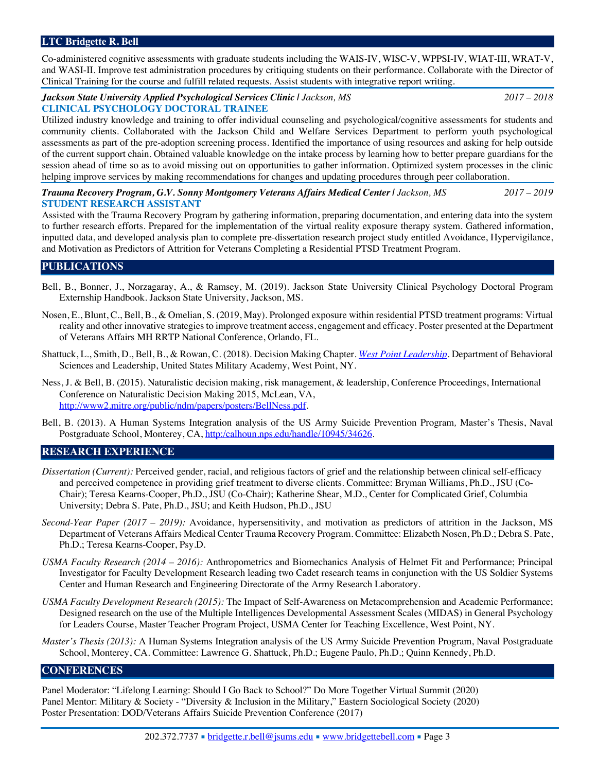## **LTC Bridgette R. Bell**

Co-administered cognitive assessments with graduate students including the WAIS-IV, WISC-V, WPPSI-IV, WIAT-III, WRAT-V, and WASI-II. Improve test administration procedures by critiquing students on their performance. Collaborate with the Director of Clinical Training for the course and fulfill related requests. Assist students with integrative report writing.

#### *Jackson State University Applied Psychological Services Clinic | Jackson, MS 2017 – 2018*  **CLINICAL PSYCHOLOGY DOCTORAL TRAINEE**

Utilized industry knowledge and training to offer individual counseling and psychological/cognitive assessments for students and community clients. Collaborated with the Jackson Child and Welfare Services Department to perform youth psychological assessments as part of the pre-adoption screening process. Identified the importance of using resources and asking for help outside of the current support chain. Obtained valuable knowledge on the intake process by learning how to better prepare guardians for the session ahead of time so as to avoid missing out on opportunities to gather information. Optimized system processes in the clinic helping improve services by making recommendations for changes and updating procedures through peer collaboration.

#### *Trauma Recovery Program, G.V. Sonny Montgomery Veterans Affairs Medical Center | Jackson, MS 2017 – 2019*  **STUDENT RESEARCH ASSISTANT**

Assisted with the Trauma Recovery Program by gathering information, preparing documentation, and entering data into the system to further research efforts. Prepared for the implementation of the virtual reality exposure therapy system. Gathered information, inputted data, and developed analysis plan to complete pre-dissertation research project study entitled Avoidance, Hypervigilance, and Motivation as Predictors of Attrition for Veterans Completing a Residential PTSD Treatment Program.

#### **PUBLICATIONS**

- Bell, B., Bonner, J., Norzagaray, A., & Ramsey, M. (2019). Jackson State University Clinical Psychology Doctoral Program Externship Handbook*.* Jackson State University, Jackson, MS.
- Nosen, E., Blunt, C., Bell, B., & Omelian, S. (2019, May). Prolonged exposure within residential PTSD treatment programs: Virtual reality and other innovative strategies to improve treatment access, engagement and efficacy. Poster presented at the Department of Veterans Affairs MH RRTP National Conference, Orlando, FL.
- Shattuck, L., Smith, D., Bell, B., & Rowan, C. (2018). Decision Making Chapter. *West Point Leadership.* Department of Behavioral Sciences and Leadership, United States Military Academy, West Point, NY.
- Ness, J. & Bell, B. (2015). Naturalistic decision making, risk management, & leadership, Conference Proceedings, International Conference on Naturalistic Decision Making 2015, McLean, VA, http://www2.mitre.org/public/ndm/papers/posters/BellNess.pdf.
- Bell, B. (2013). A Human Systems Integration analysis of the US Army Suicide Prevention Program*,* Master's Thesis, Naval Postgraduate School, Monterey, CA, http:/calhoun.nps.edu/handle/10945/34626.

#### **RESEARCH EXPERIENCE**

- *Dissertation (Current):* Perceived gender, racial, and religious factors of grief and the relationship between clinical self-efficacy and perceived competence in providing grief treatment to diverse clients. Committee: Bryman Williams, Ph.D., JSU (Co-Chair); Teresa Kearns-Cooper, Ph.D., JSU (Co-Chair); Katherine Shear, M.D., Center for Complicated Grief, Columbia University; Debra S. Pate, Ph.D., JSU; and Keith Hudson, Ph.D., JSU
- *Second-Year Paper (2017 – 2019):* Avoidance, hypersensitivity, and motivation as predictors of attrition in the Jackson, MS Department of Veterans Affairs Medical Center Trauma Recovery Program. Committee: Elizabeth Nosen, Ph.D.; Debra S. Pate, Ph.D.; Teresa Kearns-Cooper, Psy.D.
- *USMA Faculty Research (2014 – 2016):* Anthropometrics and Biomechanics Analysis of Helmet Fit and Performance; Principal Investigator for Faculty Development Research leading two Cadet research teams in conjunction with the US Soldier Systems Center and Human Research and Engineering Directorate of the Army Research Laboratory.
- *USMA Faculty Development Research (2015):* The Impact of Self-Awareness on Metacomprehension and Academic Performance; Designed research on the use of the Multiple Intelligences Developmental Assessment Scales (MIDAS) in General Psychology for Leaders Course, Master Teacher Program Project, USMA Center for Teaching Excellence, West Point, NY.
- *Master's Thesis (2013):* A Human Systems Integration analysis of the US Army Suicide Prevention Program, Naval Postgraduate School, Monterey, CA. Committee: Lawrence G. Shattuck, Ph.D.; Eugene Paulo, Ph.D.; Quinn Kennedy, Ph.D.

#### **CONFERENCES**

Panel Moderator: "Lifelong Learning: Should I Go Back to School?" Do More Together Virtual Summit (2020) Panel Mentor: Military & Society - "Diversity & Inclusion in the Military," Eastern Sociological Society (2020) Poster Presentation: DOD/Veterans Affairs Suicide Prevention Conference (2017)